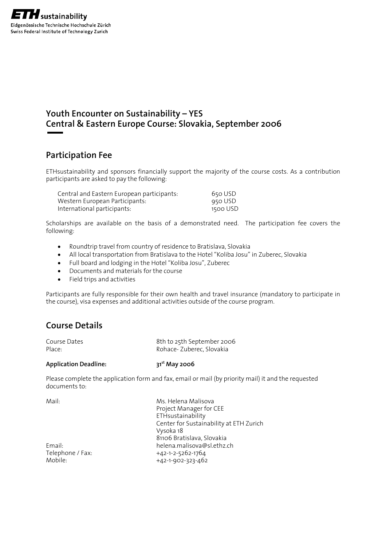### **Youth Encounter on Sustainability – YES Central & Eastern Europe Course: Slovakia, September 2006**

### **Participation Fee**

ETHsustainability and sponsors financially support the majority of the course costs. As a contribution participants are asked to pay the following:

| Central and Eastern European participants: | 650 USD  |
|--------------------------------------------|----------|
| Western European Participants:             | 950 USD  |
| International participants:                | 1500 USD |

Scholarships are available on the basis of a demonstrated need. The participation fee covers the following:

- Roundtrip travel from country of residence to Bratislava, Slovakia
- All local transportation from Bratislava to the Hotel "Koliba Josu" in Zuberec, Slovakia
- Full board and lodging in the Hotel "Koliba Josu", Zuberec
- Documents and materials for the course
- Field trips and activities

Participants are fully responsible for their own health and travel insurance (mandatory to participate in the course), visa expenses and additional activities outside of the course program.

### **Course Details**

| Course Dates<br>Place:                                                  | 8th to 25th September 2006<br>Rohace-Zuberec, Slovakia |  |
|-------------------------------------------------------------------------|--------------------------------------------------------|--|
| <b>Application Deadline:</b>                                            | $31st$ May 2006                                        |  |
| Please complete the application form and fax. email or mail (by priorit |                                                        |  |

pplication form and fax, email or mail (by priority mail) it and the requested documents to:

| Mail:            | Ms. Helena Malisova                     |
|------------------|-----------------------------------------|
|                  | Project Manager for CEE                 |
|                  | ETHsustainability                       |
|                  | Center for Sustainability at ETH Zurich |
|                  | Vysoka 18                               |
|                  | 81106 Bratislava, Slovakia              |
| Email:           | helena.malisova@sl.ethz.ch              |
| Telephone / Fax: | +42-1-2-5262-1764                       |
| Mobile:          | +42-1-902-323-462                       |
|                  |                                         |